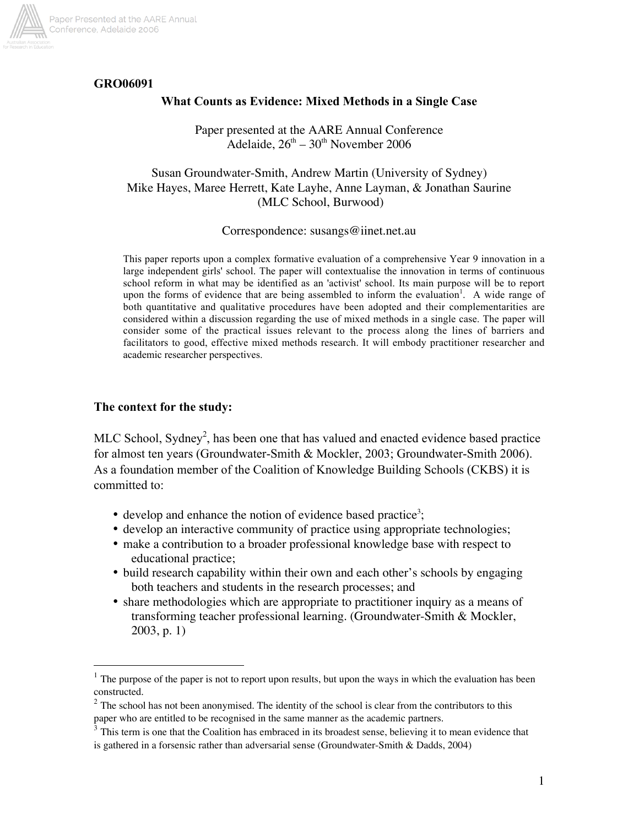

# GRO06091

## What Counts as Evidence: Mixed Methods in a Single Case

Paper presented at the AARE Annual Conference Adelaide,  $26<sup>th</sup> - 30<sup>th</sup>$  November 2006

## Susan Groundwater-Smith, Andrew Martin (University of Sydney) Mike Hayes, Maree Herrett, Kate Layhe, Anne Layman, & Jonathan Saurine (MLC School, Burwood)

#### Correspondence: susangs@iinet.net.au

This paper reports upon a complex formative evaluation of a comprehensive Year 9 innovation in a large independent girls' school. The paper will contextualise the innovation in terms of continuous school reform in what may be identified as an 'activist' school. Its main purpose will be to report upon the forms of evidence that are being assembled to inform the evaluation<sup>1</sup>. A wide range of both quantitative and qualitative procedures have been adopted and their complementarities are considered within a discussion regarding the use of mixed methods in a single case. The paper will consider some of the practical issues relevant to the process along the lines of barriers and facilitators to good, effective mixed methods research. It will embody practitioner researcher and academic researcher perspectives.

#### The context for the study:

MLC School, Sydney<sup>2</sup>, has been one that has valued and enacted evidence based practice for almost ten years (Groundwater-Smith & Mockler, 2003; Groundwater-Smith 2006). As a foundation member of the Coalition of Knowledge Building Schools (CKBS) it is committed to:

- $\bullet$  develop and enhance the notion of evidence based practice<sup>3</sup>;
- develop an interactive community of practice using appropriate technologies;
- make a contribution to a broader professional knowledge base with respect to educational practice;
- build research capability within their own and each other's schools by engaging both teachers and students in the research processes; and
- share methodologies which are appropriate to practitioner inquiry as a means of transforming teacher professional learning. (Groundwater-Smith & Mockler, 2003, p. 1)

 $1$ . The purpose of the paper is not to report upon results, but upon the ways in which the evaluation has been constructed.

 $2$  The school has not been anonymised. The identity of the school is clear from the contributors to this paper who are entitled to be recognised in the same manner as the academic partners.

<sup>&</sup>lt;sup>3</sup> This term is one that the Coalition has embraced in its broadest sense, believing it to mean evidence that is gathered in a forsensic rather than adversarial sense (Groundwater-Smith & Dadds, 2004)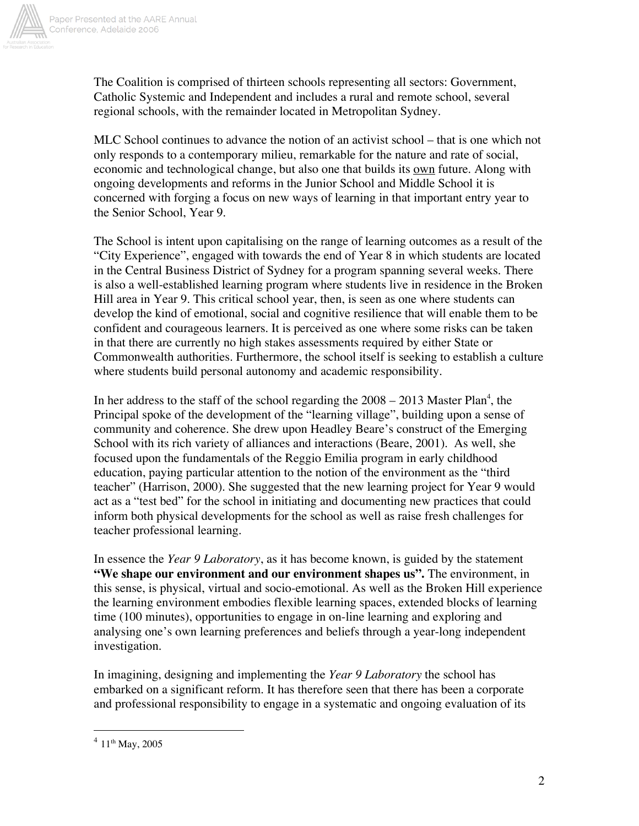

The Coalition is comprised of thirteen schools representing all sectors: Government, Catholic Systemic and Independent and includes a rural and remote school, several regional schools, with the remainder located in Metropolitan Sydney.

MLC School continues to advance the notion of an activist school – that is one which not only responds to a contemporary milieu, remarkable for the nature and rate of social, economic and technological change, but also one that builds its own future. Along with ongoing developments and reforms in the Junior School and Middle School it is concerned with forging a focus on new ways of learning in that important entry year to the Senior School, Year 9.

The School is intent upon capitalising on the range of learning outcomes as a result of the "City Experience", engaged with towards the end of Year 8 in which students are located in the Central Business District of Sydney for a program spanning several weeks. There is also a well-established learning program where students live in residence in the Broken Hill area in Year 9. This critical school year, then, is seen as one where students can develop the kind of emotional, social and cognitive resilience that will enable them to be confident and courageous learners. It is perceived as one where some risks can be taken in that there are currently no high stakes assessments required by either State or Commonwealth authorities. Furthermore, the school itself is seeking to establish a culture where students build personal autonomy and academic responsibility.

In her address to the staff of the school regarding the  $2008 - 2013$  Master Plan<sup>4</sup>, the Principal spoke of the development of the "learning village", building upon a sense of community and coherence. She drew upon Headley Beare's construct of the Emerging School with its rich variety of alliances and interactions (Beare, 2001). As well, she focused upon the fundamentals of the Reggio Emilia program in early childhood education, paying particular attention to the notion of the environment as the "third teacher" (Harrison, 2000). She suggested that the new learning project for Year 9 would act as a "test bed" for the school in initiating and documenting new practices that could inform both physical developments for the school as well as raise fresh challenges for teacher professional learning.

In essence the *Year 9 Laboratory*, as it has become known, is guided by the statement **"We shape our environment and our environment shapes us".** The environment, in this sense, is physical, virtual and socio-emotional. As well as the Broken Hill experience the learning environment embodies flexible learning spaces, extended blocks of learning time (100 minutes), opportunities to engage in on-line learning and exploring and analysing one's own learning preferences and beliefs through a year-long independent investigation.

In imagining, designing and implementing the *Year 9 Laboratory* the school has embarked on a significant reform. It has therefore seen that there has been a corporate and professional responsibility to engage in a systematic and ongoing evaluation of its

 $^{4}$  11<sup>th</sup> May, 2005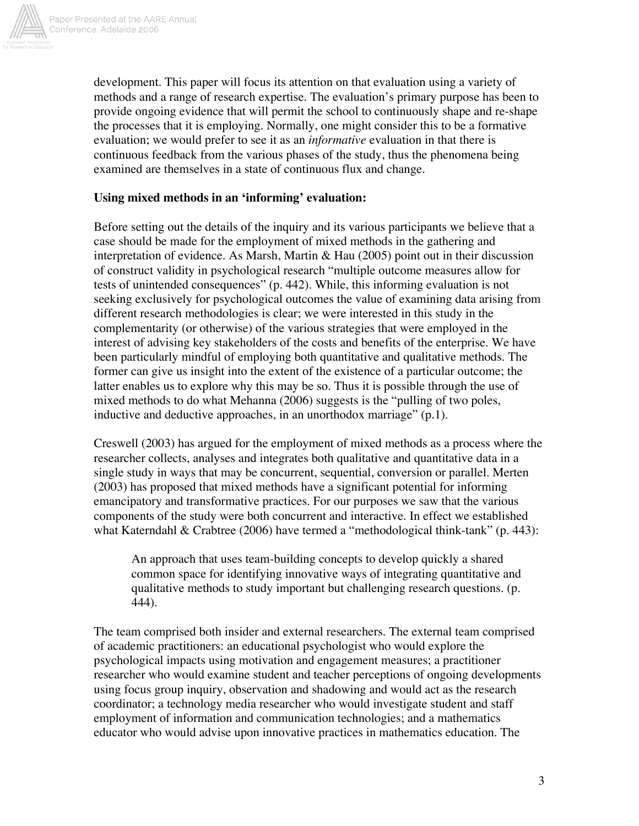

development. This paper will focus its attention on that evaluation using a variety of methods and a range of research expertise. The evaluation's primary purpose has been to provide ongoing evidence that will permit the school to continuously shape and re-shape the processes that it is employing. Normally, one might consider this to be a formative evaluation; we would prefer to see it as an *informative* evaluation in that there is continuous feedback from the various phases of the study, thus the phenomena being examined are themselves in a state of continuous flux and change.

# **Using mixed methods in an 'informing' evaluation:**

Before setting out the details of the inquiry and its various participants we believe that a case should be made for the employment of mixed methods in the gathering and interpretation of evidence. As Marsh, Martin & Hau (2005) point out in their discussion of construct validity in psychological research "multiple outcome measures allow for tests of unintended consequences" (p. 442). While, this informing evaluation is not seeking exclusively for psychological outcomes the value of examining data arising from different research methodologies is clear; we were interested in this study in the complementarity (or otherwise) of the various strategies that were employed in the interest of advising key stakeholders of the costs and benefits of the enterprise. We have been particularly mindful of employing both quantitative and qualitative methods. The former can give us insight into the extent of the existence of a particular outcome; the latter enables us to explore why this may be so. Thus it is possible through the use of mixed methods to do what Mehanna (2006) suggests is the "pulling of two poles, inductive and deductive approaches, in an unorthodox marriage" (p.1).

Creswell (2003) has argued for the employment of mixed methods as a process where the researcher collects, analyses and integrates both qualitative and quantitative data in a single study in ways that may be concurrent, sequential, conversion or parallel. Merten (2003) has proposed that mixed methods have a significant potential for informing emancipatory and transformative practices. For our purposes we saw that the various components of the study were both concurrent and interactive. In effect we established what Katerndahl & Crabtree (2006) have termed a "methodological think-tank" (p. 443):

An approach that uses team-building concepts to develop quickly a shared common space for identifying innovative ways of integrating quantitative and qualitative methods to study important but challenging research questions. (p. 444).

The team comprised both insider and external researchers. The external team comprised of academic practitioners: an educational psychologist who would explore the psychological impacts using motivation and engagement measures; a practitioner researcher who would examine student and teacher perceptions of ongoing developments using focus group inquiry, observation and shadowing and would act as the research coordinator; a technology media researcher who would investigate student and staff employment of information and communication technologies; and a mathematics educator who would advise upon innovative practices in mathematics education. The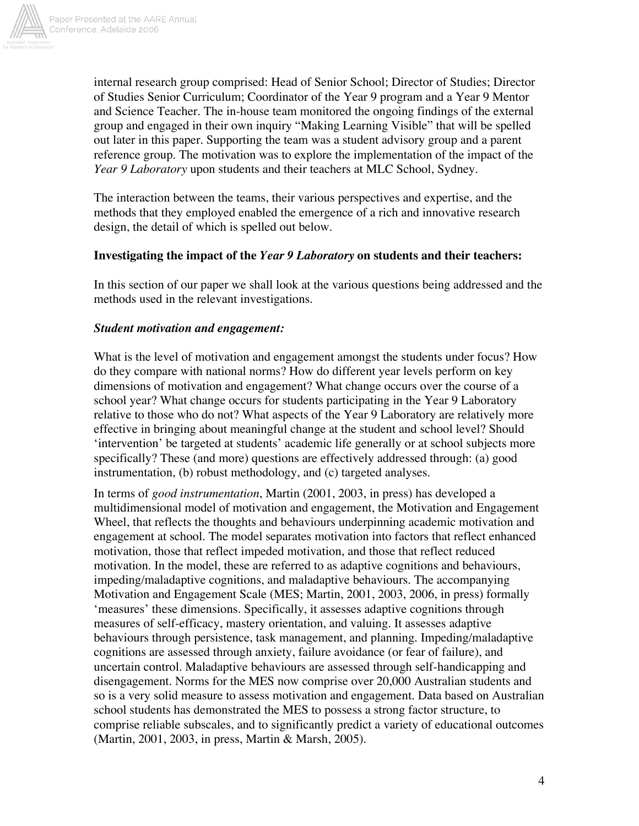

internal research group comprised: Head of Senior School; Director of Studies; Director of Studies Senior Curriculum; Coordinator of the Year 9 program and a Year 9 Mentor and Science Teacher. The in-house team monitored the ongoing findings of the external group and engaged in their own inquiry "Making Learning Visible" that will be spelled out later in this paper. Supporting the team was a student advisory group and a parent reference group. The motivation was to explore the implementation of the impact of the *Year 9 Laboratory* upon students and their teachers at MLC School, Sydney.

The interaction between the teams, their various perspectives and expertise, and the methods that they employed enabled the emergence of a rich and innovative research design, the detail of which is spelled out below.

## **Investigating the impact of the** *Year 9 Laboratory* **on students and their teachers:**

In this section of our paper we shall look at the various questions being addressed and the methods used in the relevant investigations.

#### *Student motivation and engagement:*

What is the level of motivation and engagement amongst the students under focus? How do they compare with national norms? How do different year levels perform on key dimensions of motivation and engagement? What change occurs over the course of a school year? What change occurs for students participating in the Year 9 Laboratory relative to those who do not? What aspects of the Year 9 Laboratory are relatively more effective in bringing about meaningful change at the student and school level? Should 'intervention' be targeted at students' academic life generally or at school subjects more specifically? These (and more) questions are effectively addressed through: (a) good instrumentation, (b) robust methodology, and (c) targeted analyses.

In terms of *good instrumentation*, Martin (2001, 2003, in press) has developed a multidimensional model of motivation and engagement, the Motivation and Engagement Wheel, that reflects the thoughts and behaviours underpinning academic motivation and engagement at school. The model separates motivation into factors that reflect enhanced motivation, those that reflect impeded motivation, and those that reflect reduced motivation. In the model, these are referred to as adaptive cognitions and behaviours, impeding/maladaptive cognitions, and maladaptive behaviours. The accompanying Motivation and Engagement Scale (MES; Martin, 2001, 2003, 2006, in press) formally 'measures' these dimensions. Specifically, it assesses adaptive cognitions through measures of self-efficacy, mastery orientation, and valuing. It assesses adaptive behaviours through persistence, task management, and planning. Impeding/maladaptive cognitions are assessed through anxiety, failure avoidance (or fear of failure), and uncertain control. Maladaptive behaviours are assessed through self-handicapping and disengagement. Norms for the MES now comprise over 20,000 Australian students and so is a very solid measure to assess motivation and engagement. Data based on Australian school students has demonstrated the MES to possess a strong factor structure, to comprise reliable subscales, and to significantly predict a variety of educational outcomes (Martin, 2001, 2003, in press, Martin & Marsh, 2005).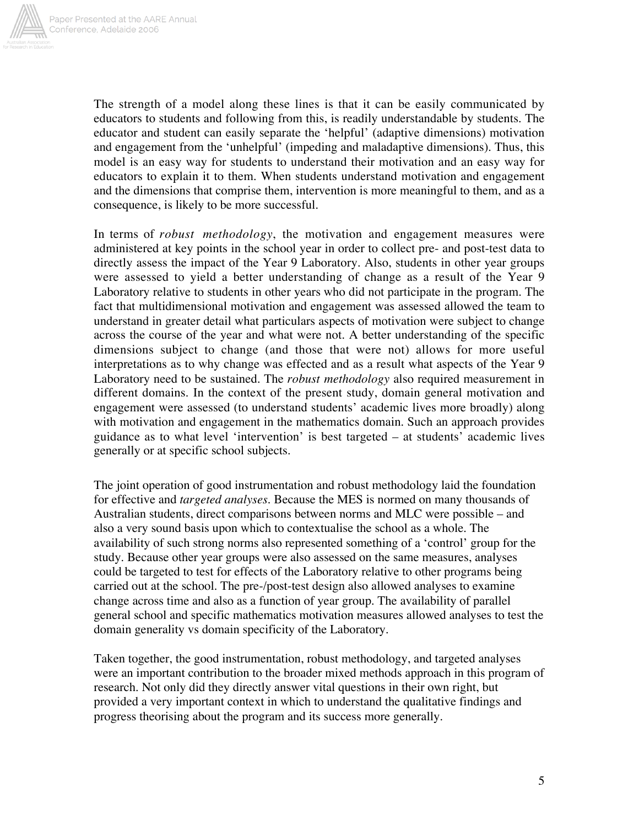

The strength of a model along these lines is that it can be easily communicated by educators to students and following from this, is readily understandable by students. The educator and student can easily separate the 'helpful' (adaptive dimensions) motivation and engagement from the 'unhelpful' (impeding and maladaptive dimensions). Thus, this model is an easy way for students to understand their motivation and an easy way for educators to explain it to them. When students understand motivation and engagement and the dimensions that comprise them, intervention is more meaningful to them, and as a consequence, is likely to be more successful.

In terms of *robust methodology*, the motivation and engagement measures were administered at key points in the school year in order to collect pre- and post-test data to directly assess the impact of the Year 9 Laboratory. Also, students in other year groups were assessed to yield a better understanding of change as a result of the Year 9 Laboratory relative to students in other years who did not participate in the program. The fact that multidimensional motivation and engagement was assessed allowed the team to understand in greater detail what particulars aspects of motivation were subject to change across the course of the year and what were not. A better understanding of the specific dimensions subject to change (and those that were not) allows for more useful interpretations as to why change was effected and as a result what aspects of the Year 9 Laboratory need to be sustained. The *robust methodology* also required measurement in different domains. In the context of the present study, domain general motivation and engagement were assessed (to understand students' academic lives more broadly) along with motivation and engagement in the mathematics domain. Such an approach provides guidance as to what level 'intervention' is best targeted – at students' academic lives generally or at specific school subjects.

The joint operation of good instrumentation and robust methodology laid the foundation for effective and *targeted analyses*. Because the MES is normed on many thousands of Australian students, direct comparisons between norms and MLC were possible – and also a very sound basis upon which to contextualise the school as a whole. The availability of such strong norms also represented something of a 'control' group for the study. Because other year groups were also assessed on the same measures, analyses could be targeted to test for effects of the Laboratory relative to other programs being carried out at the school. The pre-/post-test design also allowed analyses to examine change across time and also as a function of year group. The availability of parallel general school and specific mathematics motivation measures allowed analyses to test the domain generality vs domain specificity of the Laboratory.

Taken together, the good instrumentation, robust methodology, and targeted analyses were an important contribution to the broader mixed methods approach in this program of research. Not only did they directly answer vital questions in their own right, but provided a very important context in which to understand the qualitative findings and progress theorising about the program and its success more generally.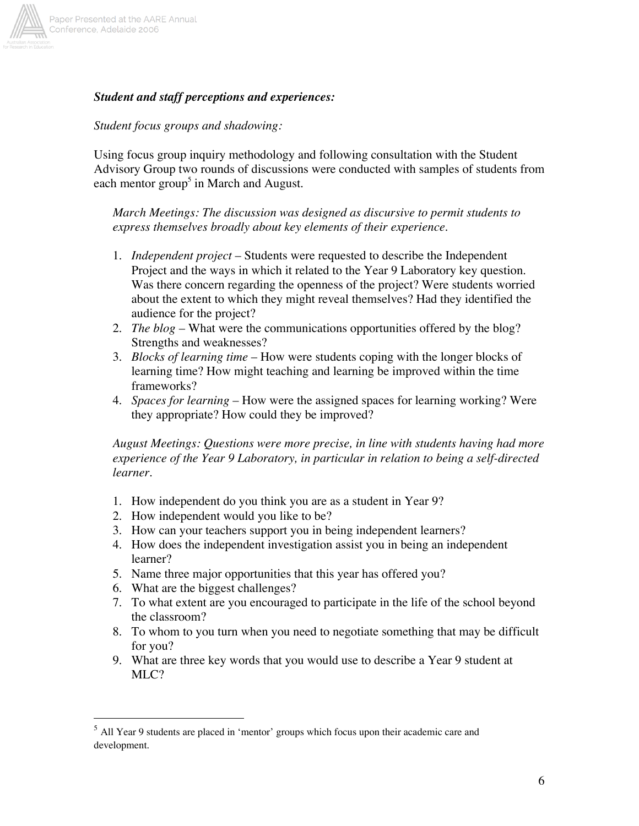

## *Student and staff perceptions and experiences:*

#### *Student focus groups and shadowing:*

Using focus group inquiry methodology and following consultation with the Student Advisory Group two rounds of discussions were conducted with samples of students from each mentor group<sup>5</sup> in March and August.

*March Meetings: The discussion was designed as discursive to permit students to express themselves broadly about key elements of their experience.*

- 1. *Independent project* Students were requested to describe the Independent Project and the ways in which it related to the Year 9 Laboratory key question. Was there concern regarding the openness of the project? Were students worried about the extent to which they might reveal themselves? Had they identified the audience for the project?
- 2. *The blog* What were the communications opportunities offered by the blog? Strengths and weaknesses?
- 3. *Blocks of learning time* How were students coping with the longer blocks of learning time? How might teaching and learning be improved within the time frameworks?
- 4. *Spaces for learning* How were the assigned spaces for learning working? Were they appropriate? How could they be improved?

*August Meetings: Questions were more precise, in line with students having had more experience of the Year 9 Laboratory, in particular in relation to being a self-directed learner.*

- 1. How independent do you think you are as a student in Year 9?
- 2. How independent would you like to be?
- 3. How can your teachers support you in being independent learners?
- 4. How does the independent investigation assist you in being an independent learner?
- 5. Name three major opportunities that this year has offered you?
- 6. What are the biggest challenges?
- 7. To what extent are you encouraged to participate in the life of the school beyond the classroom?
- 8. To whom to you turn when you need to negotiate something that may be difficult for you?
- 9. What are three key words that you would use to describe a Year 9 student at MLC?

 $<sup>5</sup>$  All Year 9 students are placed in 'mentor' groups which focus upon their academic care and</sup> development.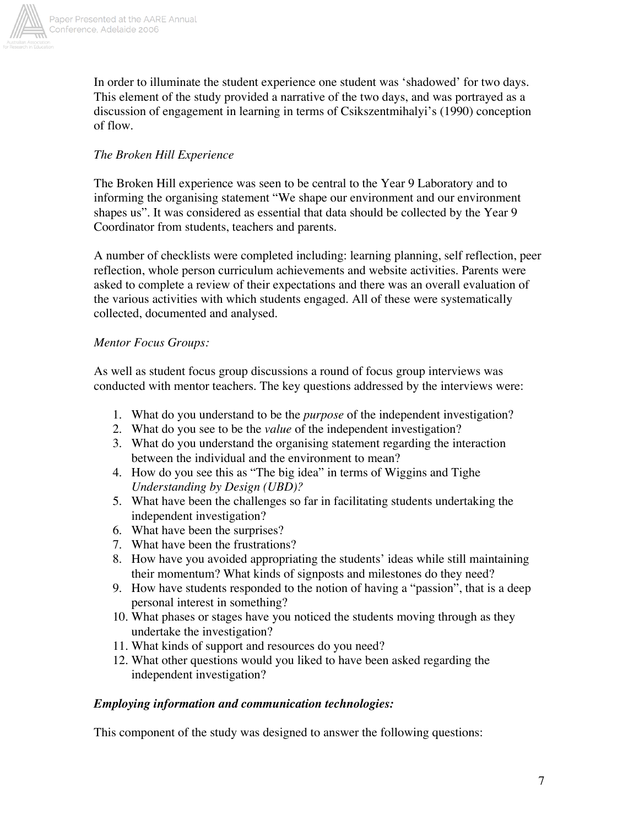

In order to illuminate the student experience one student was 'shadowed' for two days. This element of the study provided a narrative of the two days, and was portrayed as a discussion of engagement in learning in terms of Csikszentmihalyi's (1990) conception of flow.

# *The Broken Hill Experience*

The Broken Hill experience was seen to be central to the Year 9 Laboratory and to informing the organising statement "We shape our environment and our environment shapes us". It was considered as essential that data should be collected by the Year 9 Coordinator from students, teachers and parents.

A number of checklists were completed including: learning planning, self reflection, peer reflection, whole person curriculum achievements and website activities. Parents were asked to complete a review of their expectations and there was an overall evaluation of the various activities with which students engaged. All of these were systematically collected, documented and analysed.

# *Mentor Focus Groups:*

As well as student focus group discussions a round of focus group interviews was conducted with mentor teachers. The key questions addressed by the interviews were:

- 1. What do you understand to be the *purpose* of the independent investigation?
- 2. What do you see to be the *value* of the independent investigation?
- 3. What do you understand the organising statement regarding the interaction between the individual and the environment to mean?
- 4. How do you see this as "The big idea" in terms of Wiggins and Tighe *Understanding by Design (UBD)?*
- 5. What have been the challenges so far in facilitating students undertaking the independent investigation?
- 6. What have been the surprises?
- 7. What have been the frustrations?
- 8. How have you avoided appropriating the students' ideas while still maintaining their momentum? What kinds of signposts and milestones do they need?
- 9. How have students responded to the notion of having a "passion", that is a deep personal interest in something?
- 10. What phases or stages have you noticed the students moving through as they undertake the investigation?
- 11. What kinds of support and resources do you need?
- 12. What other questions would you liked to have been asked regarding the independent investigation?

# *Employing information and communication technologies:*

This component of the study was designed to answer the following questions: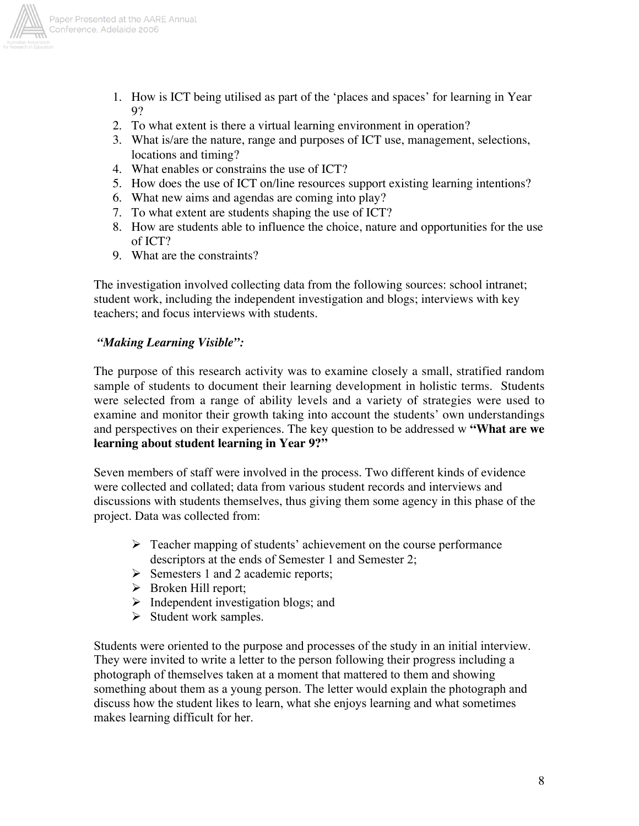

- 1. How is ICT being utilised as part of the 'places and spaces' for learning in Year 9?
- 2. To what extent is there a virtual learning environment in operation?
- 3. What is/are the nature, range and purposes of ICT use, management, selections, locations and timing?
- 4. What enables or constrains the use of ICT?
- 5. How does the use of ICT on/line resources support existing learning intentions?
- 6. What new aims and agendas are coming into play?
- 7. To what extent are students shaping the use of ICT?
- 8. How are students able to influence the choice, nature and opportunities for the use of ICT?
- 9. What are the constraints?

The investigation involved collecting data from the following sources: school intranet; student work, including the independent investigation and blogs; interviews with key teachers; and focus interviews with students.

## *"Making Learning Visible":*

The purpose of this research activity was to examine closely a small, stratified random sample of students to document their learning development in holistic terms. Students were selected from a range of ability levels and a variety of strategies were used to examine and monitor their growth taking into account the students' own understandings and perspectives on their experiences. The key question to be addressed w **"What are we learning about student learning in Year 9?"**

Seven members of staff were involved in the process. Two different kinds of evidence were collected and collated; data from various student records and interviews and discussions with students themselves, thus giving them some agency in this phase of the project. Data was collected from:

- $\triangleright$  Teacher mapping of students' achievement on the course performance descriptors at the ends of Semester 1 and Semester 2;
- $\triangleright$  Semesters 1 and 2 academic reports;
- $\triangleright$  Broken Hill report;
- $\triangleright$  Independent investigation blogs; and
- $\triangleright$  Student work samples.

Students were oriented to the purpose and processes of the study in an initial interview. They were invited to write a letter to the person following their progress including a photograph of themselves taken at a moment that mattered to them and showing something about them as a young person. The letter would explain the photograph and discuss how the student likes to learn, what she enjoys learning and what sometimes makes learning difficult for her.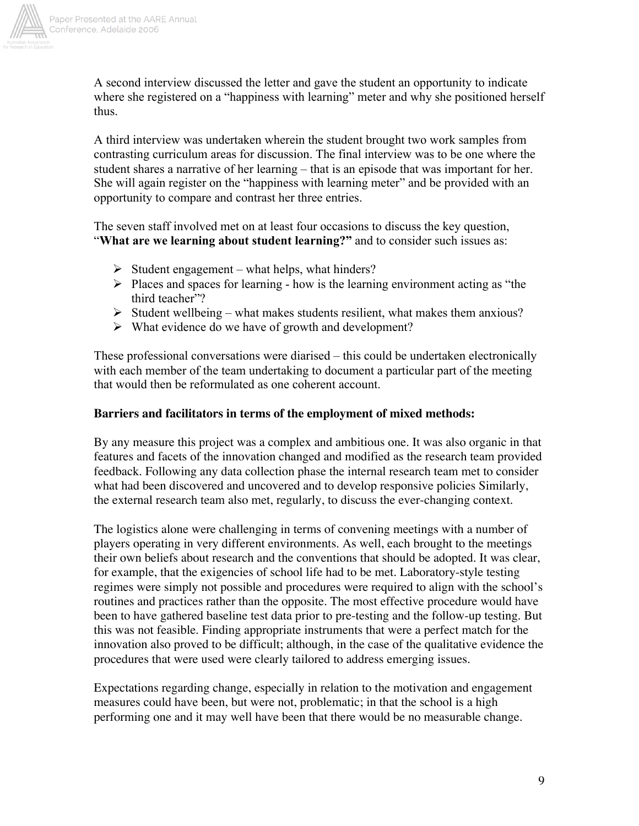

A second interview discussed the letter and gave the student an opportunity to indicate where she registered on a "happiness with learning" meter and why she positioned herself thus.

A third interview was undertaken wherein the student brought two work samples from contrasting curriculum areas for discussion. The final interview was to be one where the student shares a narrative of her learning – that is an episode that was important for her. She will again register on the "happiness with learning meter" and be provided with an opportunity to compare and contrast her three entries.

The seven staff involved met on at least four occasions to discuss the key question, "What are we learning about student learning?" and to consider such issues as:

- $\triangleright$  Student engagement what helps, what hinders?
- $\triangleright$  Places and spaces for learning how is the learning environment acting as "the third teacher"?
- $\triangleright$  Student wellbeing what makes students resilient, what makes them anxious?
- $\triangleright$  What evidence do we have of growth and development?

These professional conversations were diarised – this could be undertaken electronically with each member of the team undertaking to document a particular part of the meeting that would then be reformulated as one coherent account.

## **Barriers and facilitators in terms of the employment of mixed methods:**

By any measure this project was a complex and ambitious one. It was also organic in that features and facets of the innovation changed and modified as the research team provided feedback. Following any data collection phase the internal research team met to consider what had been discovered and uncovered and to develop responsive policies Similarly, the external research team also met, regularly, to discuss the ever-changing context.

The logistics alone were challenging in terms of convening meetings with a number of players operating in very different environments. As well, each brought to the meetings their own beliefs about research and the conventions that should be adopted. It was clear, for example, that the exigencies of school life had to be met. Laboratory-style testing regimes were simply not possible and procedures were required to align with the school's routines and practices rather than the opposite. The most effective procedure would have been to have gathered baseline test data prior to pre-testing and the follow-up testing. But this was not feasible. Finding appropriate instruments that were a perfect match for the innovation also proved to be difficult; although, in the case of the qualitative evidence the procedures that were used were clearly tailored to address emerging issues.

Expectations regarding change, especially in relation to the motivation and engagement measures could have been, but were not, problematic; in that the school is a high performing one and it may well have been that there would be no measurable change.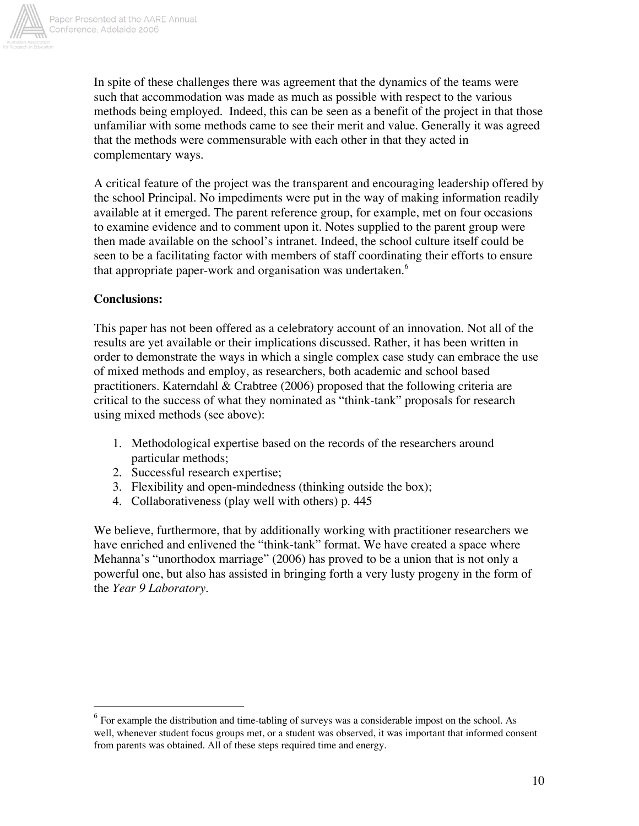

In spite of these challenges there was agreement that the dynamics of the teams were such that accommodation was made as much as possible with respect to the various methods being employed. Indeed, this can be seen as a benefit of the project in that those unfamiliar with some methods came to see their merit and value. Generally it was agreed that the methods were commensurable with each other in that they acted in complementary ways.

A critical feature of the project was the transparent and encouraging leadership offered by the school Principal. No impediments were put in the way of making information readily available at it emerged. The parent reference group, for example, met on four occasions to examine evidence and to comment upon it. Notes supplied to the parent group were then made available on the school's intranet. Indeed, the school culture itself could be seen to be a facilitating factor with members of staff coordinating their efforts to ensure that appropriate paper-work and organisation was undertaken.<sup>6</sup>

# **Conclusions:**

This paper has not been offered as a celebratory account of an innovation. Not all of the results are yet available or their implications discussed. Rather, it has been written in order to demonstrate the ways in which a single complex case study can embrace the use of mixed methods and employ, as researchers, both academic and school based practitioners. Katerndahl & Crabtree (2006) proposed that the following criteria are critical to the success of what they nominated as "think-tank" proposals for research using mixed methods (see above):

- 1. Methodological expertise based on the records of the researchers around particular methods;
- 2. Successful research expertise;
- 3. Flexibility and open-mindedness (thinking outside the box);
- 4. Collaborativeness (play well with others) p. 445

We believe, furthermore, that by additionally working with practitioner researchers we have enriched and enlivened the "think-tank" format. We have created a space where Mehanna's "unorthodox marriage" (2006) has proved to be a union that is not only a powerful one, but also has assisted in bringing forth a very lusty progeny in the form of the *Year 9 Laboratory.*

<sup>&</sup>lt;sup>6</sup> For example the distribution and time-tabling of surveys was a considerable impost on the school. As well, whenever student focus groups met, or a student was observed, it was important that informed consent from parents was obtained. All of these steps required time and energy.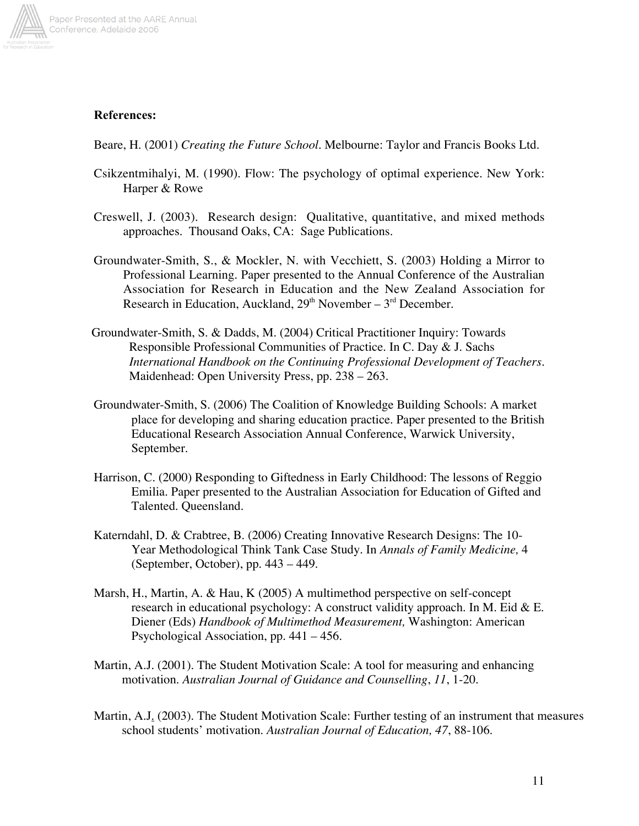

## References:

Beare, H. (2001) *Creating the Future School.* Melbourne: Taylor and Francis Books Ltd.

- Csikzentmihalyi, M. (1990). Flow: The psychology of optimal experience. New York: Harper & Rowe
- Creswell, J. (2003). Research design: Qualitative, quantitative, and mixed methods approaches. Thousand Oaks, CA: Sage Publications.
- Groundwater-Smith, S., & Mockler, N. with Vecchiett, S. (2003) Holding a Mirror to Professional Learning. Paper presented to the Annual Conference of the Australian Association for Research in Education and the New Zealand Association for Research in Education, Auckland,  $29<sup>th</sup>$  November –  $3<sup>rd</sup>$  December.
- Groundwater-Smith, S. & Dadds, M. (2004) Critical Practitioner Inquiry: Towards Responsible Professional Communities of Practice. In C. Day & J. Sachs *International Handbook on the Continuing Professional Development of Teachers.* Maidenhead: Open University Press, pp. 238 – 263.
- Groundwater-Smith, S. (2006) The Coalition of Knowledge Building Schools: A market place for developing and sharing education practice. Paper presented to the British Educational Research Association Annual Conference, Warwick University, September.
- Harrison, C. (2000) Responding to Giftedness in Early Childhood: The lessons of Reggio Emilia. Paper presented to the Australian Association for Education of Gifted and Talented. Queensland.
- Katerndahl, D. & Crabtree, B. (2006) Creating Innovative Research Designs: The 10- Year Methodological Think Tank Case Study. In *Annals of Family Medicine,* 4 (September, October), pp. 443 – 449.
- Marsh, H., Martin, A. & Hau, K (2005) A multimethod perspective on self-concept research in educational psychology: A construct validity approach. In M. Eid  $&\,$  E. Diener (Eds) *Handbook of Multimethod Measurement,* Washington: American Psychological Association, pp. 441 – 456.
- Martin, A.J. (2001). The Student Motivation Scale: A tool for measuring and enhancing motivation. *Australian Journal of Guidance and Counselling*, *11*, 1-20.
- Martin, A.J. (2003). The Student Motivation Scale: Further testing of an instrument that measures school students' motivation. *Australian Journal of Education, 47*, 88-106.